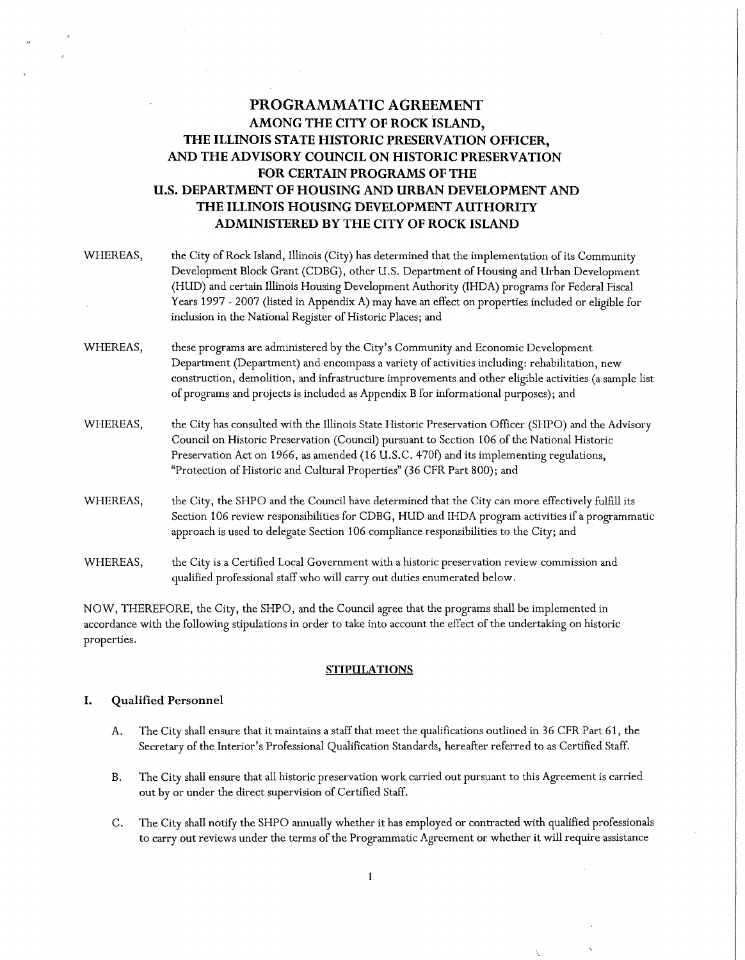# **PROGRAMMATIC AGREEMENT AMONG THE CITY OF ROCK ISLAND, THE ILLINOIS STATE HISTORIC PRESERVATION OFFICER, AND THE ADVISORY COUNCIL ON HISTORIC PRESERVATION FOR CERTAIN PROGRAMS OF THE U.S. DEPARTMENT OF HOUSING AND URBAN DEVELOPMENT AND THE ILLINOIS HOUSING DEVELOPMENT AUTHORITY ADMINISTERED BY THE CITY OF ROCK ISLAND**

- WHEREAS, WHEREAS, WHEREAS, WHEREAS, the City of Rock Island, Illinois (City) has determined that the implementation of its Community Development Block Grant (CDBG), other U.S. Department of Housing and Urban Development (HUD) and certain Illinois Housing Development Authority (IHDA) programs for Federal Fiscal Years 1997 - 2007 (listed in Appendix A) may have an effect on properties included or eligible for inclusion in the National Register of Historic Places; and these programs are administered by the City's Community and Economic Development Department (Department) and encompass a variety of activities including: rehabilitation, new construction, demolition, and infrastructure improvements and other eligible activities (a sample list of programs and projects is included as Appendix B for informational purposes); and the City has consulted with the Illinois State Historic Preservation Officer (SHPO) and the Advisory Council on Historic Preservation (Council) pursuant to Section 106 of the National Historic Preservation Act on 1966, as amended (16 U.S.C. 470f) and its implementing regulations, "Protection of Historic and Cultural Properties" (36 CFR Part 800); and the City, the SHPO and the Council have determined that the City can more effectively fulfill its Section 106 review responsibilities for CDBG, HUD and IHDA program activities if a programmatic approach is used to delegate Section 106 compliance responsibilities to the City; and
- WHEREAS, the City is a Certified Local Government with a historic preservation review commission and qualified professional staff who will carry out duties enumerated below.

NOW, THEREFORE, the City, the SHPO, and the Council agree that the programs shall be implemented in accordance with the following stipulations in order to take into account the effect of the undertaking on historic properties.

## **STIPULATIONS**

## **I. Qualified Personnel**

- A. The City shall ensure that it maintains a staff that meet the qualifications outlined in 36 CFR Part 61, the Secretary of the Interior's Professional Qualification Standards, hereafter referred to as Certified Staff.
- B. The City shall ensure that all historic preservation work carried out pursuant to this Agreement is carried out by or under the direct supervision of Certified Staff.
- C. The City shall notify the SHPO annually whether it has employed or contracted with qualified professionals to carry out reviews under the terms of the Programmatic Agreement or whether it will require assistance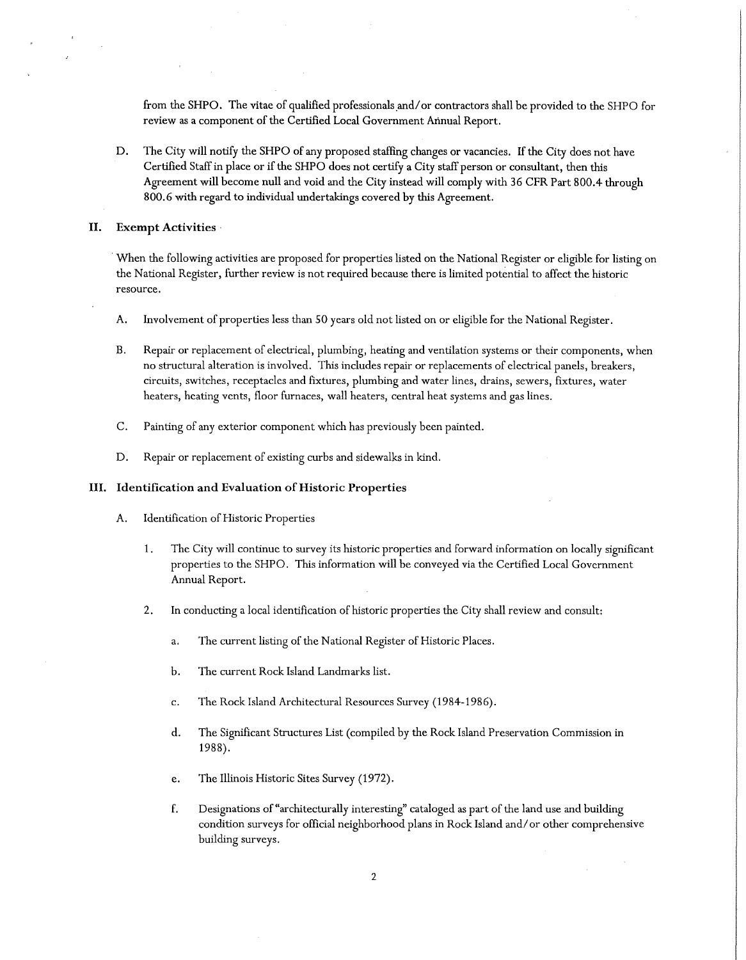from the SHPO. The vitae of qualified professionals and/ or contractors shall be provided to the SHPO for review as a component of the Certified Local Government Annual Report.

D. The City will notify the SHPO of any proposed staffing changes or vacancies. If the City does not have Certified Staff in place or if the SHPO does not certify a City staff person or consultant, then this Agreement will become null and void and the City instead will comply with 36 CFR Part 800.4 through 800.6 with regard to individual undertakings covered by this Agreement.

#### II. **Exempt Activities** ·

When the following activities are proposed for properties listed on the National Register or eligible for listing on the National Register, further review is not required because there is limited potential to affect the historic resource.

- A. Involvement of properties less than 50 years old not listed on or eligible for the National Register.
- B. Repair or replacement of electrical, plumbing, heating and ventilation systems or their components, when no structural alteration is involved. This includes repair or replacements of electrical panels, breakers, circuits, switches, receptacles and fixtures, plumbing and water lines, drains, sewers, fixtures, water heaters, heating vents, floor furnaces, wall heaters, central heat systems and gas lines.
- C. Painting of any exterior component which has previously been painted.
- D. Repair or replacement of existing curbs and sidewalks in kind.

#### III. **Identification and Evaluation of Historic Properties**

- A. Identification of Historic Properties
	- 1. The City will continue to survey its historic properties and forward information on locally significant properties to the SHPO. This information will be conveyed via the Certified Local Government Annual Report.
	- 2. In conducting a local identification of historic properties the City shall review and consult:
		- a. The current listing of the National Register of Historic Places.
		- b. The current Rock Island Landmarks list.
		- c. The Rock Island Architectural Resources Survey (1984-1986).
		- d. The Significant Structures List ( compiled by the Rock Island Preservation Commission in 1988).
		- e. The Illinois Historic Sites Survey (1972).
		- f. Designations of "architecturally interesting" cataloged as part of the land use and building condition surveys for official neighborhood plans in Rock Island and/ or other comprehensive building surveys.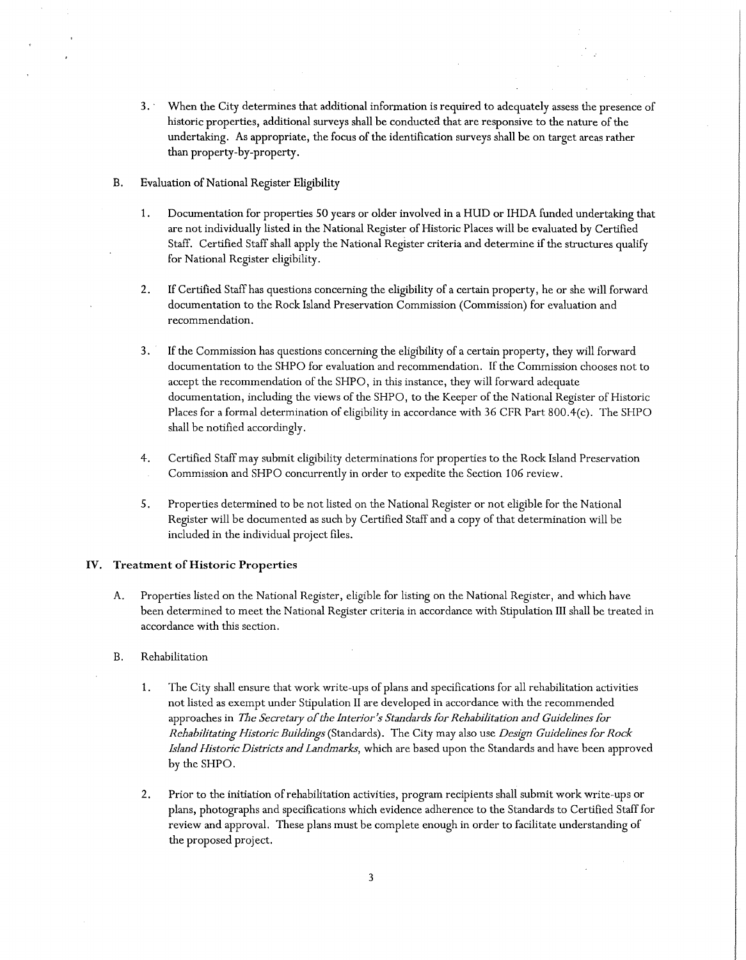- 3. · When the City determines that additional information is required to adequately assess the presence of historic properties, additional surveys shall be conducted that are responsive to the nature of the undertaking. As appropriate, the focus of the identification surveys shall be on target areas rather than property-by-property.
- B. Evaluation of National Register Eligibility
	- 1. Documentation for properties 50 years or older involved in a HUD or IHDA funded undertaking that are not individually listed in the National Register of Historic Places will be evaluated by Certified Staff. Certified Staff shall apply the National Register criteria and determine if the structures qualify for National Register eligibility.
	- 2. If Certified Staff has questions concerning the eligibility of a certain property, he or she will forward documentation to the Rock Island Preservation Commission (Commission) for evaluation and recommendation.
	- 3. If the Commission has questions concerning the eligibility of a certain property, they will forward documentation to the SHPO for evaluation and recommendation. If the Commission chooses not to accept the recommendation of the SHPO, in this instance, they will forward adequate documentation, including the views of the SHPO, to the Keeper of the National Register of Historic Places for a formal determination of eligibility in accordance with 36 CFR Part 800.4(c). The SHPO shall be notified accordingly.
	- 4. Certified Staff may submit eligibility determinations for properties to the Rock Island Preservation Commission and SHPO concurrently in order to expedite the Section 106 review.
	- 5. Properties determined to be not listed on the National Register or not eligible for the National Register will be documented as such by Certified Staff and a copy of that determination will be included in the individual project files.

## **IV. Treatment of Historic Properties**

- A. Properties listed on the National Register, eligible for listing on the National Register, and which have been determined to meet the National Register criteria in accordance with Stipulation III shall be treated in accordance with this section.
- B. Rehabilitation
	- 1. The City shall ensure that work write-ups of plans and specifications for all rehabilitation activities not listed as exempt under Stipulation II are developed in accordance with the recommended approaches in *The Secretary of the Interior's Standards for Rehabilitation and Guidelines for Rehabilitating Historic Buildings* (Standards). The City may also use *Design Guidelines for Rock Island Historic Districts and Landmarks,* which are based upon the Standards and have been approved by the SHPO.
	- 2. Prior to the initiation ofrehabilitation activities, program recipients shall submit work write-ups or plans, photographs and specifications which evidence adherence to the Standards to Certified Staff for review and approval. These plans must be complete enough in order to facilitate understanding of the proposed project.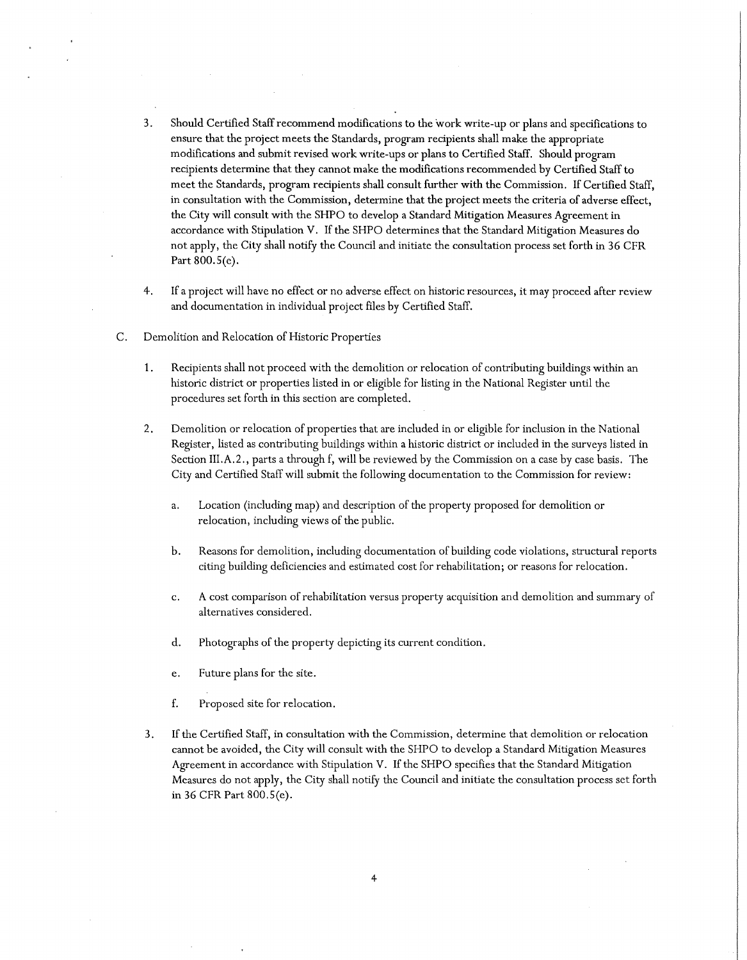- 3. Should Certified Staff recommend modifications to the work write-up or plans and specifications to ensure that the project meets the Standards, program recipients shall make the appropriate modifications and submit revised work write-ups or plans to Certified Staff. Should program recipients determine that they cannot make the modifications recommended by Certified Staff to meet the Standards, program recipients shall consult further with the Commission. If Certified Staff, in consultation with the Commission, determine that the project meets the criteria of adverse effect, the City will consult with the SHPO to develop a Standard Mitigation Measures Agreement in accordance with Stipulation V. If the SHPO determines that the Standard Mitigation Measures do not apply, the City shall notify the Council and initiate the consultation process set forth in 36 CFR Part 800.S(e).
- 4. If a project will have no effect or no adverse effect on historic resources, it may proceed after review and documentation in individual project files by Certified Staff.
- C. Demolition and Relocation of Historic Properties
	- 1. Recipients shall not proceed with the demolition or relocation of contributing buildings within an historic district or properties listed in or eligible for listing in the National Register until the procedures set forth in this section are completed.
	- 2. Demolition or relocation of properties that are included in or eligible for inclusion in the National Register, listed as contributing buildings within a historic district or included in the surveys listed in Section III.A.2., parts a through f, will be reviewed by the Commission on a case by case basis. The City and Certified Staff will submit the following documentation to the Commission for review:
		- a. Location (including map) and description of the property proposed for demolition or relocation, including views of the public.
		- b. Reasons for demolition, including documentation of building code violations, structural reports citing building deficiencies and estimated cost for rehabilitation; or reasons for relocation.
		- c. A cost comparison of rehabilitation versus property acquisition and demolition and summary of alternatives considered.
		- d. Photographs of the property depicting its current condition.
		- e. Future plans for the site.
		- f. Proposed site for relocation.
	- 3. If the Certified Staff, in consultation with the Commission, determine that demolition or relocation cannot be avoided, the City will consult with the SHPO to develop a Standard Mitigation Measures Agreement in accordance with Stipulation V. If the SHPO specifies that the Standard Mitigation Measures do not apply, the City shall notify the Council and initiate the consultation process set forth in 36 CFR Part 800.S(e).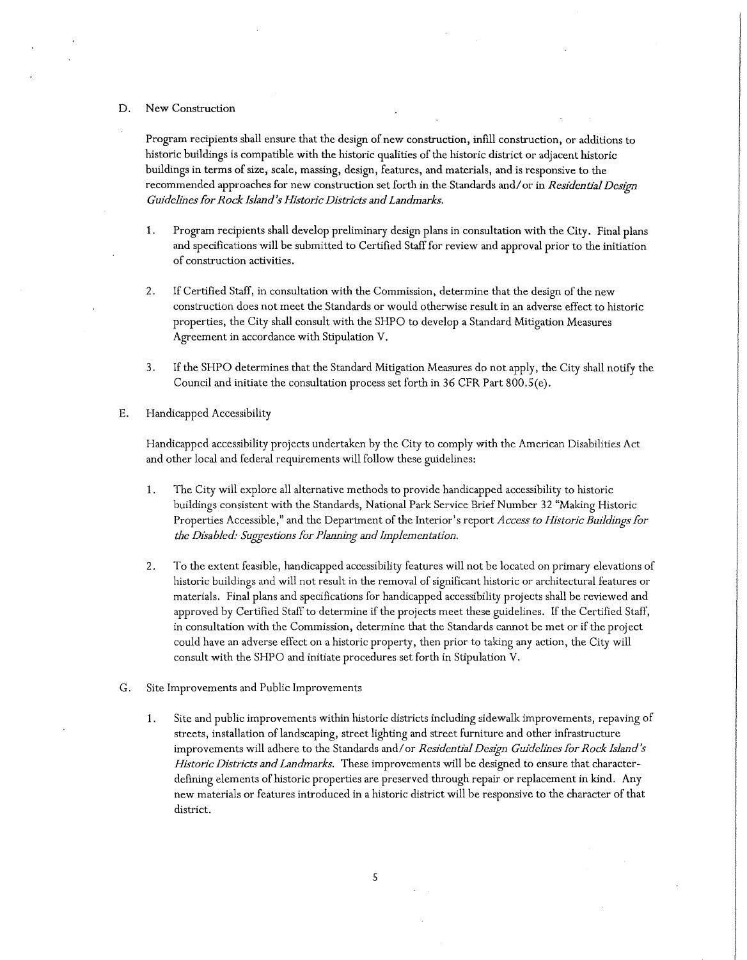#### D. New Construction

Program recipients shall ensure that the design of new construction, infill construction, or additions to historic buildings is compatible with the historic qualities of the historic district or adjacent historic buildings in terms of size, scale, massing, design, features, and materials, and is responsive to the recommended approaches for new construction set forth in the Standards and/ or in *Residential Design Guidelines for Rock Island's Historic Districts and Landmarks.* 

- 1. Program recipients shall develop preliminary design plans in consultation with the City. Final plans and specifications will be submitted to Certified Staff for review and approval prior to the initiation of construction activities.
- 2. If Certified Staff, in consultation with the Commission, determine that the design of the new construction does not meet the Standards or would otherwise result in an adverse effect to historic properties, the City shall consult with the SHPO to develop a Standard Mitigation Measures Agreement in accordance with Stipulation V.
- 3. If the SHPO determines that the Standard Mitigation Measures do not apply, the City shall notify the Council and initiate the consultation process set forth in 36 CFR Part 800.S(e).
- E. Handicapped Accessibility

Handicapped accessibility projects undertaken by the City to comply with the American Disabilities Act and other local and federal requirements will follow these guidelines:

- 1. The City will explore all alternative methods to provide handicapped accessibility to historic buildings consistent with the Standards, National Park Service Brief Number 32 "Making Historic Properties Accessible," and the Department of the Interior's report *Access to Historic Buildings for the Disabled: Suggestions for Planning and Implementation.*
- 2. To the extent feasible, handicapped accessibility features will not be located on primary elevations of historic buildings and will not result in the removal of significant historic or architectural features or materials. Final plans and specifications for handicapped accessibility projects shall be reviewed and approved by Certified Staff to determine if the projects meet these guidelines. If the Certified Staff, in consultation with the Commission, determine that the Standards cannot be met or if the project could have an adverse effect on a historic property, then prior to taking any action, the City will consult with the SHPO and initiate procedures set forth in Stipulation V.
- G. Site Improvements and Public Improvements
	- 1. Site and public improvements within historic districts including sidewalk improvements, repaving of streets, installation of landscaping, street lighting and street furniture and other infrastructure improvements will adhere to the Standards and/ or *Residential Design Guidelines for Rock Island's Historic Districts and Landmarks.* These improvements will be designed to ensure that characterdefining elements of historic properties are preserved through repair or replacement in kind. Any new materials or features introduced in a historic district will be responsive to the character of that district.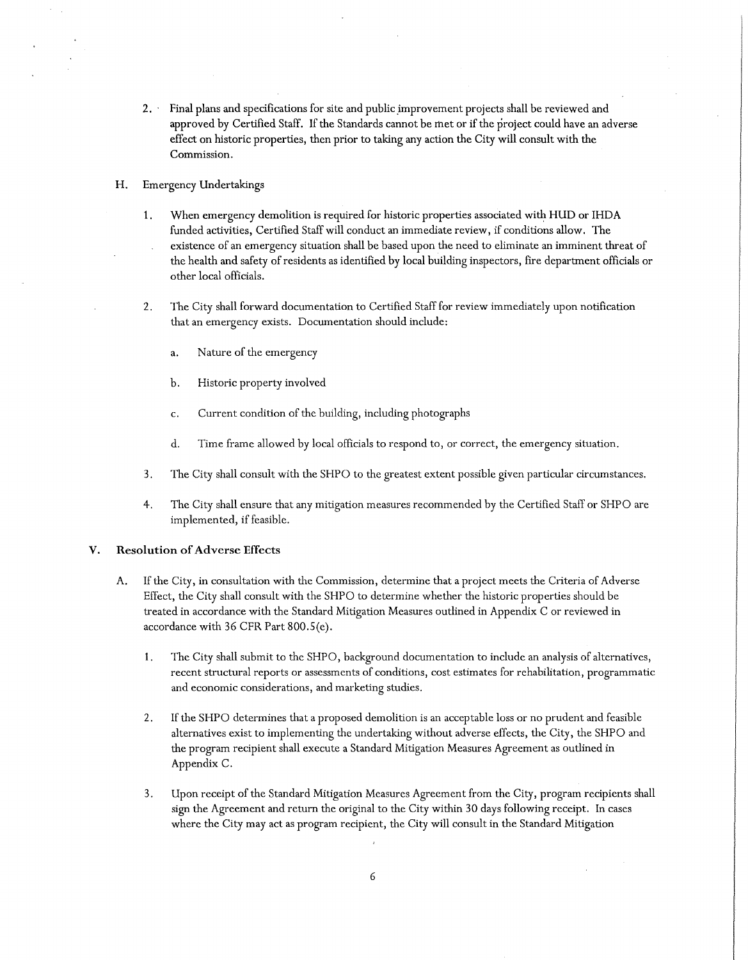- 2. Final plans and specifications for site and public improvement projects shall be reviewed and approved by Certified Staff. If the Standards cannot be met or if the project could have an adverse effect on historic properties, then prior to taking any action the City will consult with the Commission.
- H. Emergency Undertakings
	- **1.** When emergency demolition is required for historic properties associated with HUD or IHDA funded activities, Certified Staff will conduct an immediate review, if conditions allow. The existence of an emergency situation shall be based upon the need to eliminate an imminent threat of the health and safety of residents as identified by local building inspectors, fire department officials or other local officials.
	- 2. The City shall forward documentation to Certified Staff for review immediately upon notification that an emergency exists. Documentation should include:
		- a. Nature of the emergency
		- b. Historic property involved
		- c. Current condition of the building, including photographs
		- d. Time frame allowed by local officials to respond to, or correct, the emergency situation.
	- 3. The City shall consult with the SHPO to the greatest extent possible given particular circumstances.
	- 4. The City shall ensure that any mitigation measures recommended by the Certified Staff or SHPO are implemented, if feasible.

#### **V. Resolution of Adverse Effects**

- A. If the City, in consultation with the Commission, determine that a project meets the Criteria of Adverse Effect, the City shall consult with the SHPO to determine whether the historic properties should be treated in accordance with the Standard Mitigation Measures outlined in Appendix C or reviewed in accordance with 36 CFR Part 800.S(e).
	- 1. The City shall submit to the SHPO, background documentation to include an analysis of alternatives, recent structural reports or assessments of conditions, cost estimates for rehabilitation, programmatic and economic considerations, and marketing studies.
	- 2. If the SHPO determines that a proposed demolition is an acceptable loss or no prudent and feasible alternatives exist to implementing the undertaking without adverse effects, the City, the SHPO and the program recipient shall execute a Standard Mitigation Measures Agreement as outlined in Appendix C.
	- 3. Upon receipt of the Standard Mitigation Measures Agreement from the City, program recipients shall sign the Agreement and return the original to the City within 30 days following receipt. In cases where the City may act as program recipient, the City will consult in the Standard Mitigation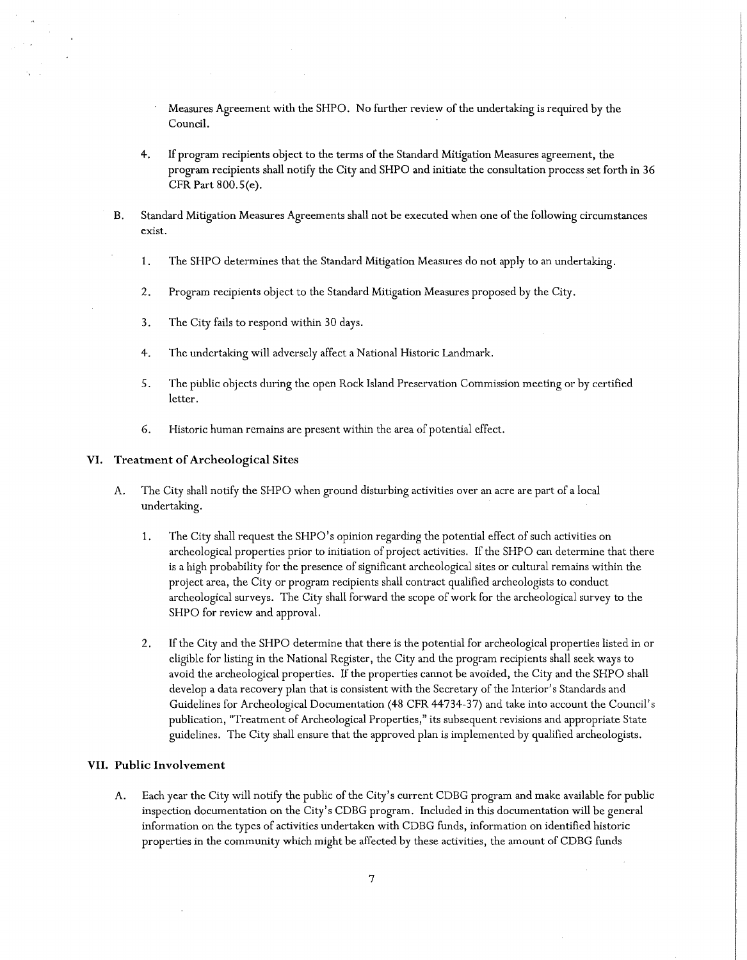Measures Agreement with the SHPO. No further review of the undertaking is required by the Council.

- 4. If program recipients object to the terms of the Standard Mitigation Measures agreement, the program recipients shall notify the City and SHPO and initiate the consultation process set forth in 36 CFR Part 800.S(e).
- B. Standard Mitigation Measures Agreements shall not be executed when one of the following circumstances exist.
	- 1. The SHPO determines that the Standard Mitigation Measures do not apply to an undertaking.
	- 2. Program recipients object to the Standard Mitigation Measures proposed by the City.
	- 3. The City fails to respond within 30 days.
	- 4. The undertaking will adversely affect a National Historic Landmark.
	- 5. The public objects during the open Rock Island Preservation Commission meeting or by certified letter.
	- 6. Historic human remains are present within the area of potential effect.

#### **VI. Treatment of Archeological Sites**

- A. The City shall notify the SHPO when ground disturbing activities over an acre are part of a local undertaking.
	- 1. The City shall request the SHPO's opinion regarding the potential effect of such activities on archeological properties prior to initiation of project activities. If the SHPO can determine that there is a high probability for the presence of significant archeological sites or cultural remains within the project area, the City or program recipients shall contract qualified archeologists to conduct archeological surveys. The City shall forward the scope of work for the archeological survey to the SHPO for review and approval.
	- 2. If the City and the SHPO determine that there is the potential for archeological properties listed in or eligible for listing in the National Register, the City and the program recipients shall seek ways to avoid the archeological properties. If the properties cannot be avoided, the City and the SHPO shall develop a data recovery plan that is consistent with the Secretary of the Interior's Standards and Guidelines for Archeological Documentation (48 CFR 44734-37) and take into account the Council's publication, "Treatment of Archeological Properties," its subsequent revisions and appropriate State guidelines. The City shall ensure that the approved plan is implemented by qualified archeologists.

## **VII. Public Involvement**

A. Each year the City will notify the public of the City's current CDBG program and make available for public inspection documentation on the City's CDBG program. Included in this documentation will be general information on the types of activities undertaken with CDBG funds, information on identified historic properties in the community which might be affected by these activities, the amount of CDBG funds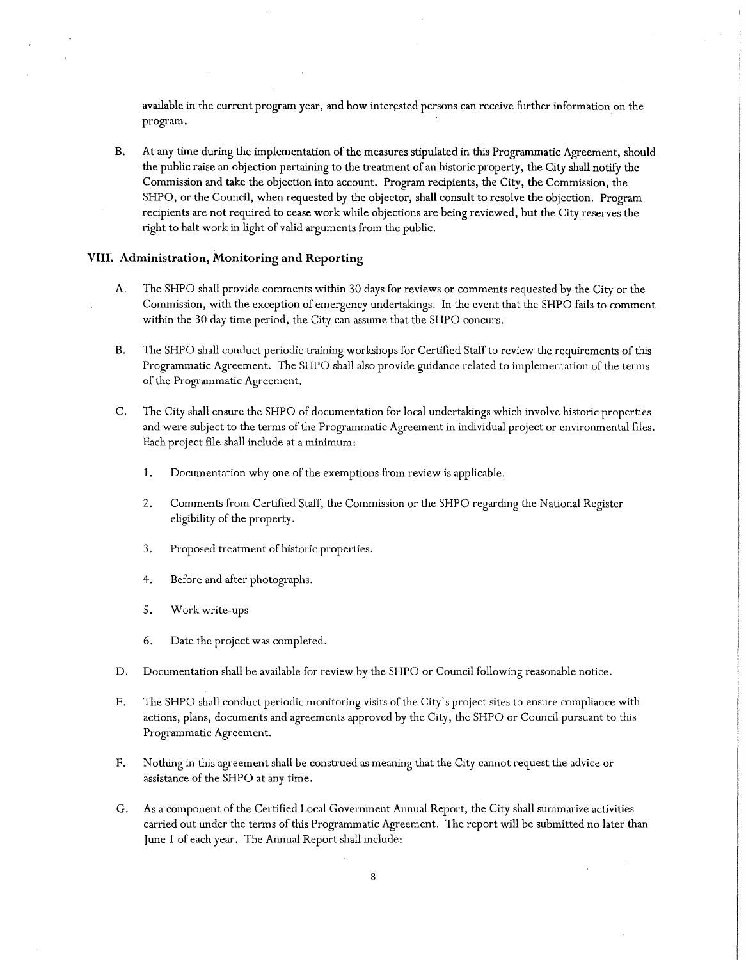available in the current program year, and how interested persons can receive further information on the program.

B. At any time during the implementation of the measures stipulated in this Programmatic Agreement, should the public raise an objection pertaining to the treatment of an historic property, the City shall notify the Commission and take the objection into account. Program recipients, the City, the Commission, the SHPO, or the Council, when requested by the objector, shall consult to resolve the objection. Program recipients are not required to cease work while objections are being reviewed, but the City reserves the right to halt work in light of valid arguments from the public.

## **VIIL Administration, Monitoring and Reporting**

- A. The SHPO shall provide comments within 30 days for reviews or comments requested by the City or the Commission, with the exception of emergency undertakings. In the event that the SHPO fails to comment within the 30 day time period, the City can assume that the SHPO concurs.
- B. The SHPO shall conduct periodic training workshops for Certified Staff to review the requirements of this Programmatic Agreement. The SHPO shall also provide guidance related to implementation of the terms of the Programmatic Agreement.
- C. The City shall ensure the SHPO of documentation for local undertakings which involve historic properties and were subject to the terms of the Programmatic Agreement in individual project or environmental files. Each project file shall include at a minimum:
	- 1. Documentation why one of the exemptions from review is applicable.
	- 2. Comments from Certified Staff, the Commission or the SHPO regarding the National Register eligibility of the property.
	- 3. Proposed treatment of historic properties.
	- 4. Before and after photographs.
	- 5. Work write-ups
	- 6. Date the project was completed.
- D. Documentation shall be available for review by the SHPO or Council following reasonable notice.
- E. The SHPO shall conduct periodic monitoring visits of the City's project sites to ensure compliance with actions, plans, documents and agreements approved by the City, the SHPO or Council pursuant to this Programmatic Agreement.
- F. Nothing in this agreement shall be construed as meaning that the City cannot request the advice or assistance of the SHPO at any time.
- G. As a component of the Certified Local Government Annual Report, the City shall summarize activities carried out under the terms of this Programmatic Agreement. The report will be submitted no later than June 1 of each year. The Annual Report shall include: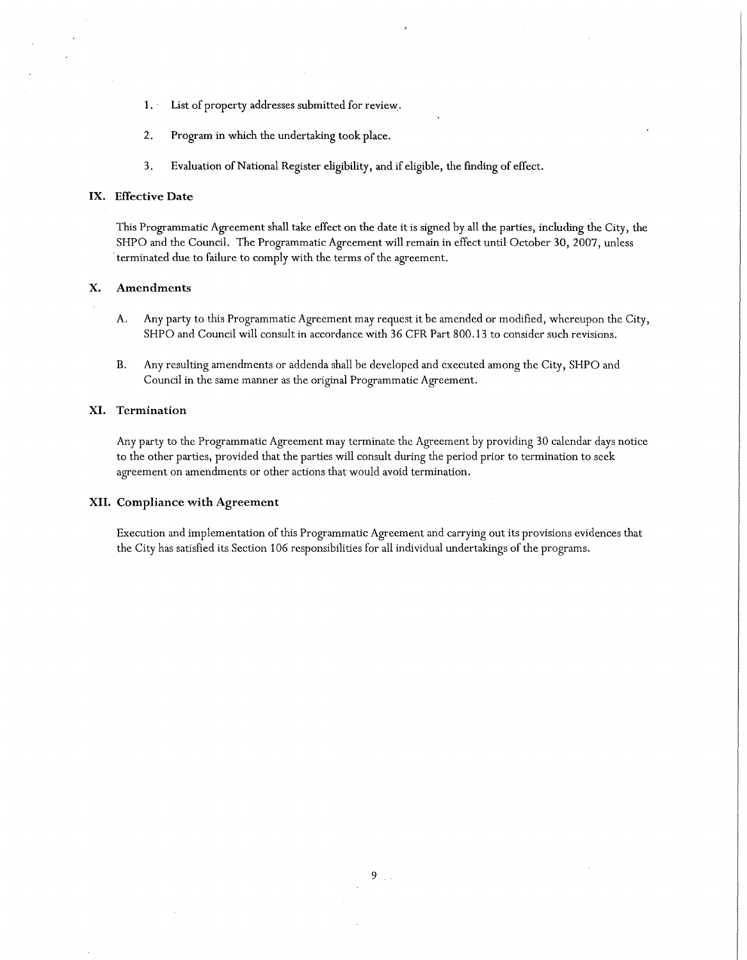- 1. · List of property addresses submitted for review:.
- 2. Program in which the undertaking took place.
- 3. Evaluation of National Register eligibility, and if eligible, the finding of effect.

## **IX. Effective Date**

This Programmatic Agreement shall take effect on the date it is signed by all the parties, including the City, the SHPO and the Council. The Programmatic Agreement will remain in effect until October 30, 2007, unless terminated due to failure to comply with the terms of the agreement.

## **X. Amendments**

- A. Any party to this Programmatic Agreement may request it be amended or modified, whereupon the City, SHPO and Council will consult in accordance with 36 CFR Part 800.13 to consider such revisions.
- B. Any resulting amendments or addenda shall be developed and executed among the City, SHPO and Council in the same manner as the original Programmatic Agreement.

## **XI. Termination**

Any party to the Programmatic Agreement may terminate the Agreement by providing 30 calendar days notice to the other parties, provided that the parties will consult during the period prior to termination to seek agreement on amendments or other actions that would avoid termination.

#### **XII. Compliance with Agreement**

Execution and implementation of this Programmatic Agreement and carrying out its provisions evidences that the City has satisfied its Section 106 responsibilities for all individual undertakings of the programs.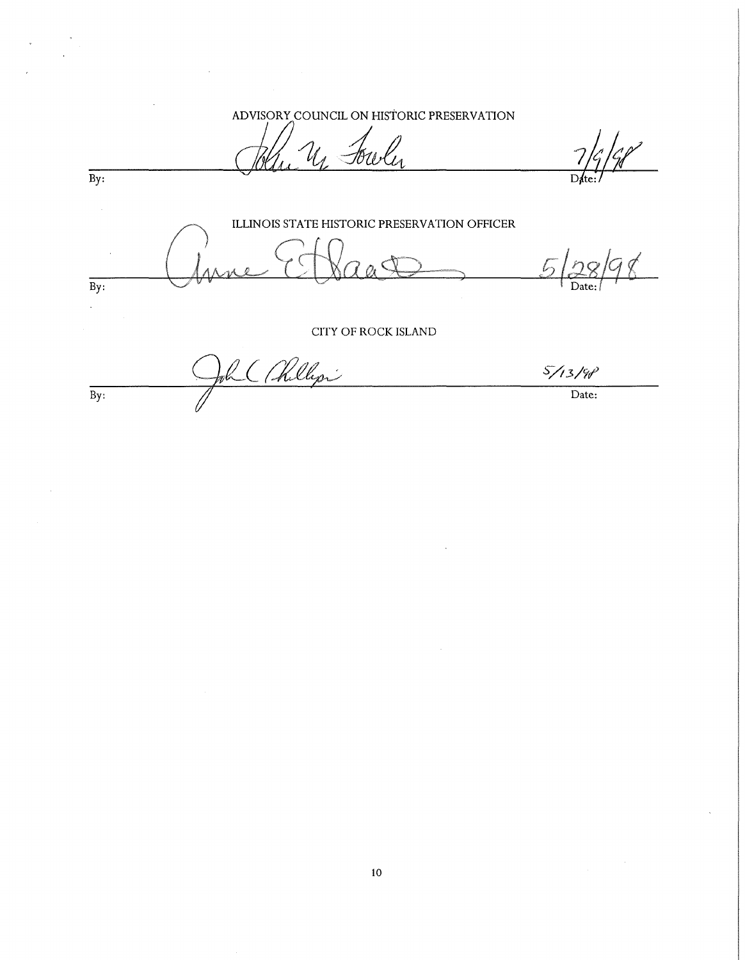ADVISORY COUNCIL ON HISTORIC PRESERVATION

Fowley

 $\overline{By:}$ 

ILLINOIS STATE HISTORIC PRESERVATION OFFICER  $\sqrt{2}$  $\overline{By:}$  $\mathbb{R}^2$ 

CITY OF ROCK ISLAND

2 (Allegri  $5/13/98$  $\mathbb{B}$ y: Date: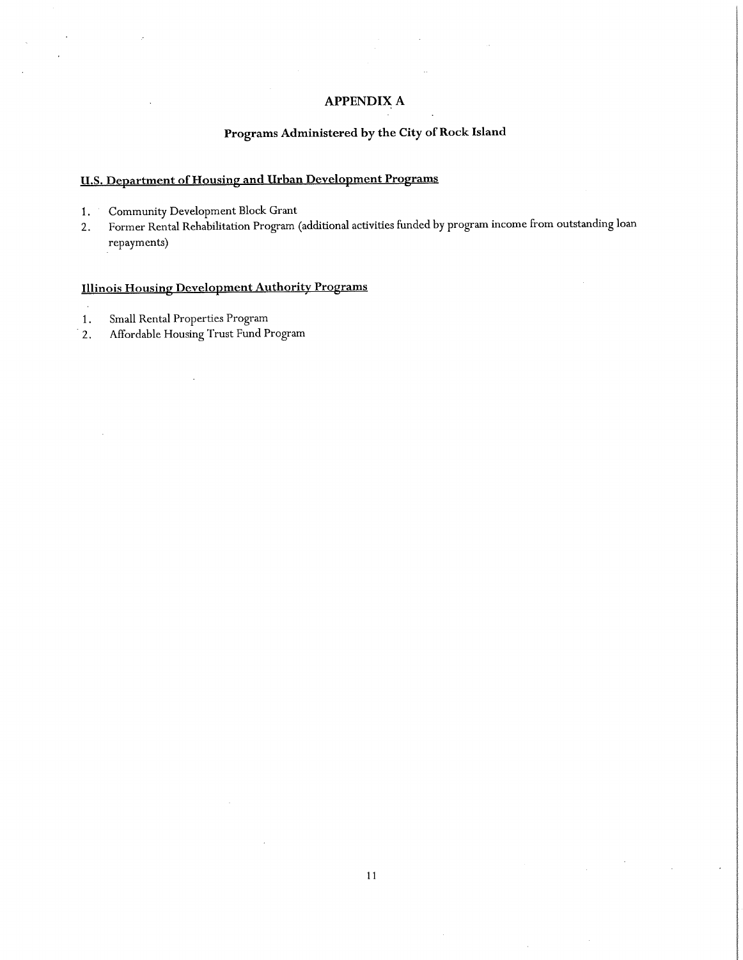# **APPENDIX A**

# **Programs Administered by the City of Rock Island**

# **U.S. Department of Housing and Urban Development Programs**

- 1. Community Development Block Grant
- 2. Former Rental Rehabilitation Program (additional activities funded by program income from outstanding loan repayments)

# **Illinois Housing Development Authority Programs**

- 1. Small Rental Properties Program
- 2. Affordable Housing Trust Fund Program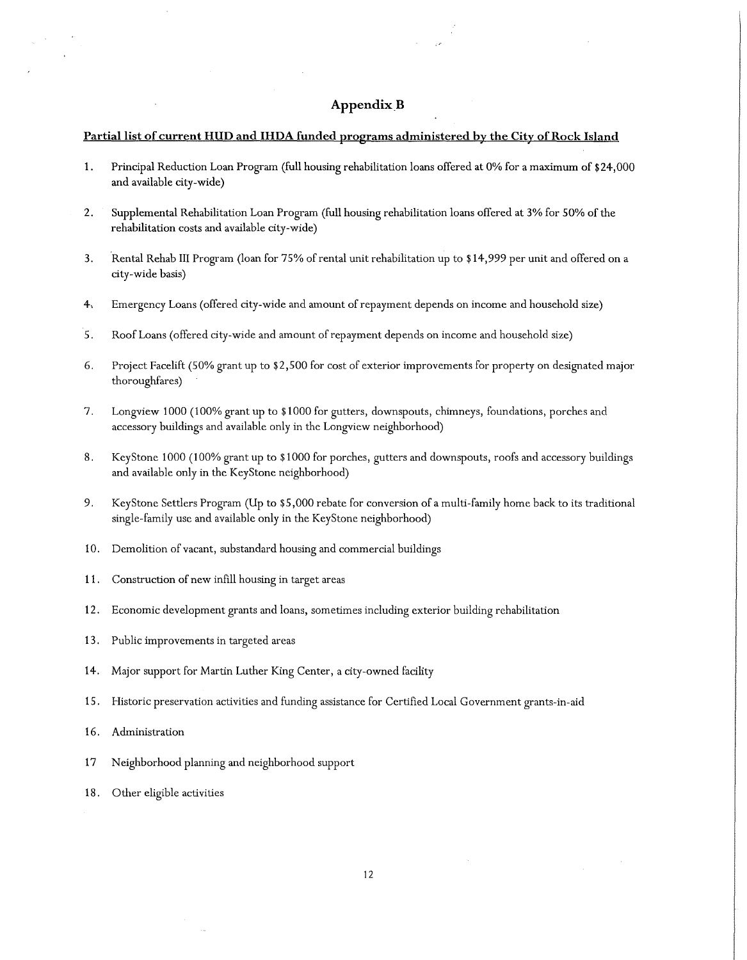## **Appendix\_B**

#### **Partial list of current HUD and IHDA funded programs administered by the City of Rock Island**

- **1.** Principal Reduction Loan Program (full housing rehabilitation loans offered at 0% for a maximum of \$24,000 and available city-wide)
- 2. Supplemental Rehabilitation Loan Program (full housing rehabilitation loans offered at 3% for 50% of the rehabilitation costs and available city-wide)
- 3. ·Rental Rehab III Program (loan for 75% of rental unit rehabilitation up to \$14,999 per unit and offered on a city-wide basis)
- 4-. Emergency Loans (offered city-wide and amount of repayment depends on income and household size)
- 5. Roof Loans (offered city-wide and amount of repayment depends on income and household size)
- 6. Project Facelift (50% grant up to \$2,500 for cost of exterior improvements for property on designated major thoroughfares)
- 7. Longview 1000 (100% grant up to \$1000 for gutters, downspouts, chimneys, foundations, porches and accessory buildings and available only in the Longview neighborhood)
- 8. KeyStone 1000 (100% grant up to \$1000 for porches, gutters and downspouts, roofs and accessory buildings and available only in the KeyStone neighborhood)
- 9. Key Stone Settlers Program (Up to \$5,000 rebate for conversion of a multi-family home back to its traditional single-family use and available only in the KeyStone neighborhood)
- 10. Demolition of vacant, substandard housing and commercial buildings
- 11. Construction of new infill housing in target areas
- 12. Economic development grants and loans, sometimes including exterior building rehabilitation
- 13. Public improvements in targeted areas
- 14. Major support for Martin Luther King Center, a city-owned facility
- 15. Historic preservation activities and funding assistance for Certified Local Government grants-in-aid
- 16. Administration
- 17 Neighborhood planning and neighborhood support
- 18. Other eligible activities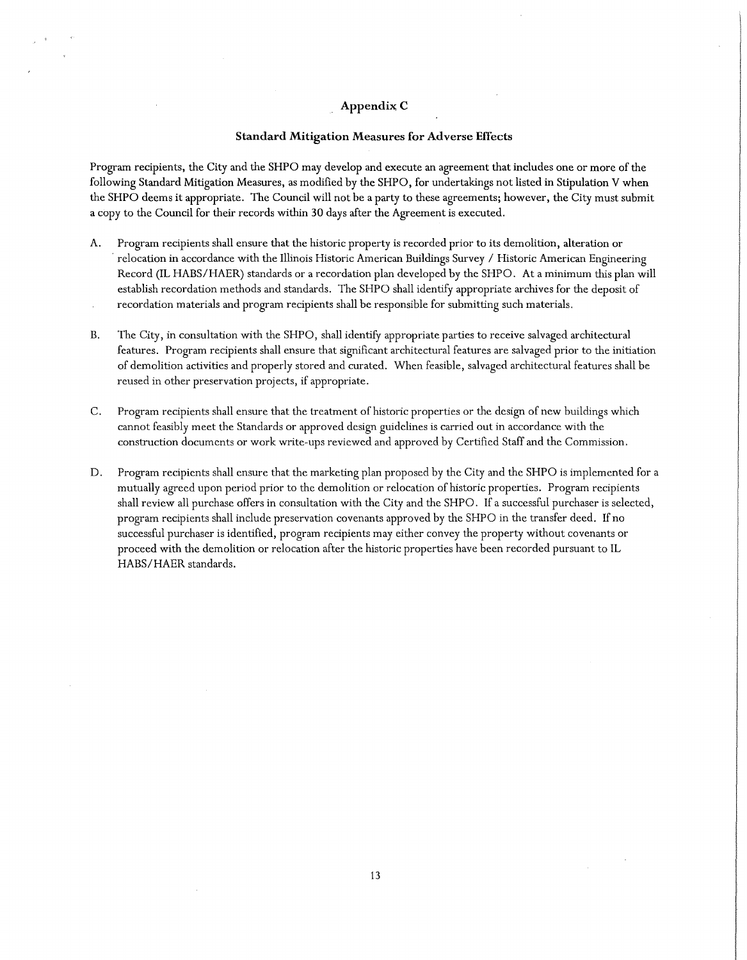#### **Appendix; C**

#### **Standard Mitigation Measures for Adverse Effects**

Program recipients, the City and the SHPO may develop and execute an agreement that includes one or more of the following Standard Mitigation Measures, as modified by the SHPO, for undertakings not listed in Stipulation V when the SHPO deems it appropriate. The Council will not be a party to these agreements; however, the City must submit a copy to the Council for their records within 30 days after the Agreement is executed.

- A. Program recipients shall ensure that the historic property is recorded prior to its demolition, alteration or · relocation in accordance with the Illinois Historic American Buildings Survey / Historic American Engineering Record (IL HABS/HAER) standards or a recordation plan developed by the SHPO. At a minimum this plan will establish recordation methods and standards. The SHPO shall identify appropriate archives for the deposit of recordation materials and program recipients shall be responsible for submitting such materials.
- B. The City, in consultation with the SHPO, shall identify appropriate parties to receive salvaged architectural features. Program recipients shall ensure that significant architectural features are salvaged prior to the initiation of demolition activities and properly stored and curated. When feasible, salvaged architectural features shall be reused in other preservation projects, if appropriate.
- C. Program recipients shall ensure that the treatment of historic properties or the design of new buildings which cannot feasibly meet the Standards or approved design guidelines is carried out in accordance with the construction documents or work write-ups reviewed and approved by Certified Staff and the Commission.
- D. Program recipients shall ensure that the marketing plan proposed by the City and the SHPO is implemented for a mutually agreed upon period prior to the demolition or relocation of historic properties. Program recipients shall review all purchase offers in consultation with the City and the SHPO. If a successful purchaser is selected, program recipients shall include preservation covenants approved by the SHPO in the transfer deed. If no successful purchaser is identified, program recipients may either convey the property without covenants or proceed with the demolition or relocation after the historic properties have been recorded pursuant to IL HABS/HAER standards.